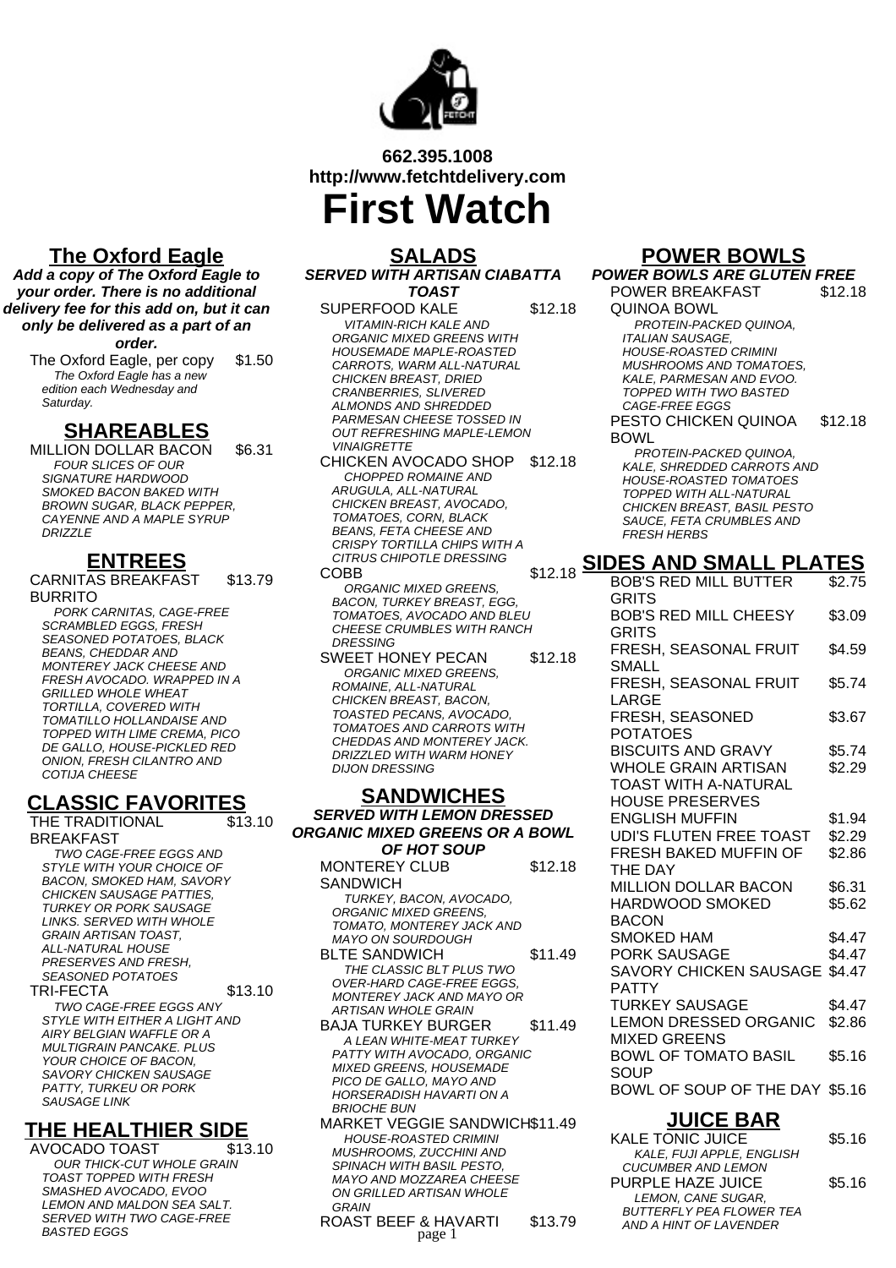

# **662.395.1008 http://www.fetchtdelivery.com First Watch**

# **The Oxford Eagle**

**Add a copy of The Oxford Eagle to your order. There is no additional delivery fee for this add on, but it can only be delivered as a part of an order.**

The Oxford Eagle, per copy \$1.50 The Oxford Eagle has a new edition each Wednesday and Saturday.

### **SHAREABLES**

MILLION DOLLAR BACON \$6.31 FOUR SLICES OF OUR SIGNATURE HARDWOOD SMOKED BACON BAKED WITH BROWN SUGAR, BLACK PEPPER, CAYENNE AND A MAPLE SYRUP **DRIZZLE** 

## **ENTREES**

CARNITAS BREAKFAST BURRITO \$13.79

PORK CARNITAS, CAGE-FREE SCRAMBLED EGGS, FRESH SEASONED POTATOES, BLACK BEANS, CHEDDAR AND MONTEREY JACK CHEESE AND FRESH AVOCADO. WRAPPED IN A GRILLED WHOLE WHEAT TORTILLA, COVERED WITH TOMATILLO HOLLANDAISE AND TOPPED WITH LIME CREMA, PICO DE GALLO, HOUSE-PICKLED RED ONION, FRESH CILANTRO AND COTIJA CHEESE

# **CLASSIC FAVORITES**

THE TRADITIONAL BREAKFAST \$13.10 TWO CAGE-FREE EGGS AND

STYLE WITH YOUR CHOICE OF BACON, SMOKED HAM, SAVORY CHICKEN SAUSAGE PATTIES, TURKEY OR PORK SAUSAGE LINKS. SERVED WITH WHOLE GRAIN ARTISAN TOAST, ALL-NATURAL HOUSE PRESERVES AND FRESH, SEASONED POTATOES TRI-FECTA \$13.10

TWO CAGE-FREE EGGS ANY STYLE WITH EITHER A LIGHT AND AIRY BELGIAN WAFFLE OR A MULTIGRAIN PANCAKE. PLUS YOUR CHOICE OF BACON, SAVORY CHICKEN SAUSAGE PATTY, TURKEU OR PORK SAUSAGE LINK

## **THE HEALTHIER SIDE**

AVOCADO TOAST \$13.10 OUR THICK-CUT WHOLE GRAIN TOAST TOPPED WITH FRESH SMASHED AVOCADO, EVOO LEMON AND MALDON SEA SALT. SERVED WITH TWO CAGE-FREE BASTED EGGS

### **SALADS SERVED WITH ARTISAN CIABATTA TOAST**

SUPERFOOD KALE \$12.18 VITAMIN-RICH KALE AND ORGANIC MIXED GREENS WITH HOUSEMADE MAPLE-ROASTED CARROTS, WARM ALL-NATURAL CHICKEN BREAST, DRIED CRANBERRIES, SLIVERED ALMONDS AND SHREDDED PARMESAN CHEESE TOSSED IN OUT REFRESHING MAPLE-LEMON **VINAIGRETTE** 

CHICKEN AVOCADO SHOP \$12.18 CHOPPED ROMAINE AND ARUGULA, ALL-NATURAL CHICKEN BREAST, AVOCADO, TOMATOES, CORN, BLACK BEANS, FETA CHEESE AND CRISPY TORTILLA CHIPS WITH A CITRUS CHIPOTLE DRESSING

ORGANIC MIXED GREENS. BACON, TURKEY BREAST, EGG, TOMATOES, AVOCADO AND BLEU CHEESE CRUMBLES WITH RANCH DRESSING SWEET HONEY PECAN \$12.18 ORGANIC MIXED GREENS.

ROMAINE, ALL-NATURAL CHICKEN BREAST, BACON, TOASTED PECANS, AVOCADO, TOMATOES AND CARROTS WITH CHEDDAS AND MONTEREY JACK. DRIZZLED WITH WARM HONEY DIJON DRESSING

### **SANDWICHES SERVED WITH LEMON DRESSED ORGANIC MIXED GREENS OR A BOWL**

**OF HOT SOUP** MONTEREY CLUB **SANDWICH** \$12.18 TURKEY, BACON, AVOCADO, ORGANIC MIXED GREENS, TOMATO, MONTEREY JACK AND MAYO ON SOURDOUGH BLTE SANDWICH
\$11.49 THE CLASSIC BLT PLUS TWO OVER-HARD CAGE-FREE EGGS, MONTEREY JACK AND MAYO OR ARTISAN WHOLE GRAIN BAJA TURKEY BURGER \$11.49 A LEAN WHITE-MEAT TURKEY PATTY WITH AVOCADO, ORGANIC MIXED GREENS, HOUSEMADE PICO DE GALLO, MAYO AND HORSERADISH HAVARTI ON A BRIOCHE BUN MARKET VEGGIE SANDWICH\$11.49

HOUSE-ROASTED CRIMINI MUSHROOMS, ZUCCHINI AND SPINACH WITH BASIL PESTO, MAYO AND MOZZAREA CHEESE ON GRILLED ARTISAN WHOLE **GRAIN** 

ROAST BEEF & HAVARTI \$13.79<br>page 1

### **POWER BOWLS**

COBB \$12.18 **SIDES AND SMALL PLATES POWER BOWLS ARE GLUTEN FREE** POWER BREAKFAST QUINOA BOWL \$12.18 PROTEIN-PACKED QUINOA, ITALIAN SAUSAGE, HOUSE-ROASTED CRIMINI MUSHROOMS AND TOMATOES, KALE, PARMESAN AND EVOO. TOPPED WITH TWO BASTED CAGE-FREE EGGS PESTO CHICKEN QUINOA BOWL \$12.18 PROTEIN-PACKED QUINOA, KALE, SHREDDED CARROTS AND HOUSE-ROASTED TOMATOES TOPPED WITH ALL-NATURAL CHICKEN BREAST, BASIL PESTO SAUCE, FETA CRUMBLES AND FRESH HERBS BOB'S RED MILL BUTTER **GRITS** \$2.75 BOB'S RED MILL CHEESY **GRITS** \$3.09 FRESH, SEASONAL FRUIT SMALL \$4.59 FRESH, SEASONAL FRUIT LARGE \$5.74 FRESH, SEASONED POTATOES \$3.67 BISCUITS AND GRAVY \$5.74 WHOLE GRAIN ARTISAN TOAST WITH A-NATURAL HOUSE PRESERVES \$2.29 ENGLISH MUFFIN \$1.94 UDI'S FLUTEN FREE TOAST \$2.29 FRESH BAKED MUFFIN OF THE DAY \$2.86 MILLION DOLLAR BACON \$6.31 HARDWOOD SMOKED BACON \$5.62 SMOKED HAM \$4.47 PORK SAUSAGE \$4.47 SAVORY CHICKEN SAUSAGE \$4.47 PATTY TURKEY SAUSAGE \$4.47 LEMON DRESSED ORGANIC MIXED GREENS \$2.86 BOWL OF TOMATO BASIL **SOUP** \$5.16 BOWL OF SOUP OF THE DAY \$5.16 **JUICE BAR**

| JUIVL DAN                       |        |
|---------------------------------|--------|
| <b>KALE TONIC JUICE</b>         | \$5.16 |
| KALE, FUJI APPLE, ENGLISH       |        |
| <b>CUCUMBER AND LEMON</b>       |        |
| PURPLE HAZE JUICE               | \$5.16 |
| LEMON, CANE SUGAR,              |        |
| <b>BUTTERFLY PEA FLOWER TEA</b> |        |
| AND A HINT OF LAVENDER          |        |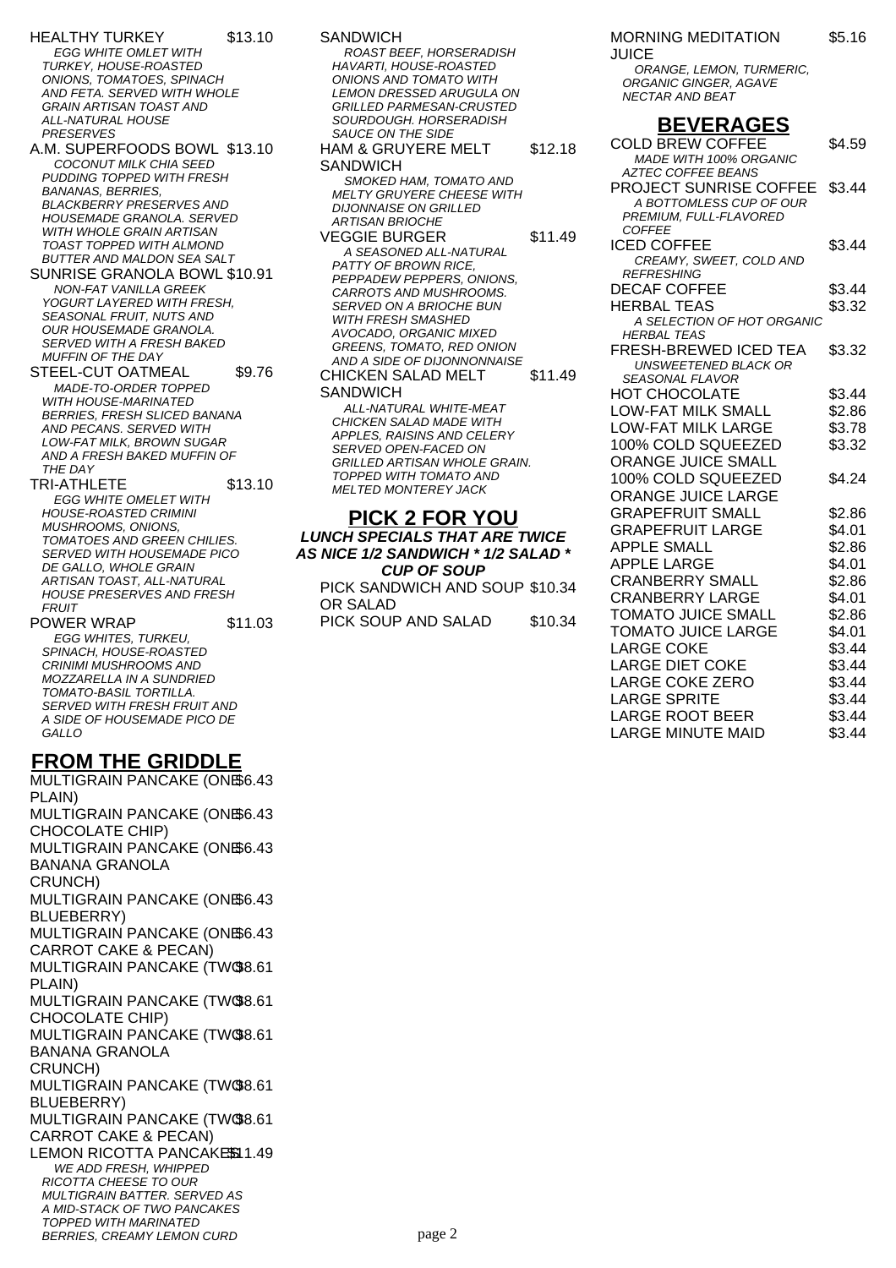- HEALTHY TURKEY \$13.10 **EGG WHITE OMLET WITH** TURKEY, HOUSE-ROASTED ONIONS, TOMATOES, SPINACH AND FETA. SERVED WITH WHOLE GRAIN ARTISAN TOAST AND ALL-NATURAL HOUSE PRESERVES
- A.M. SUPERFOODS BOWL \$13.10 COCONUT MILK CHIA SEED PUDDING TOPPED WITH FRESH BANANAS, BERRIES, BLACKBERRY PRESERVES AND HOUSEMADE GRANOLA. SERVED WITH WHOLE GRAIN ARTISAN TOAST TOPPED WITH ALMOND BUTTER AND MALDON SEA SALT
- SUNRISE GRANOLA BOWL \$10.91 NON-FAT VANILLA GREEK YOGURT LAYERED WITH FRESH, SEASONAL FRUIT, NUTS AND OUR HOUSEMADE GRANOLA. SERVED WITH A FRESH BAKED MUFFIN OF THE DAY
- STEEL-CUT OATMEAL \$9.76 MADE-TO-ORDER TOPPED WITH HOUSE-MARINATED BERRIES, FRESH SLICED BANANA AND PECANS. SERVED WITH LOW-FAT MILK, BROWN SUGAR AND A FRESH BAKED MUFFIN OF THE DAY
- TRI-ATHLETE \$13.10 EGG WHITE OMELET WITH HOUSE-ROASTED CRIMINI MUSHROOMS, ONIONS, TOMATOES AND GREEN CHILIES. SERVED WITH HOUSEMADE PICO DE GALLO, WHOLE GRAIN ARTISAN TOAST, ALL-NATURAL HOUSE PRESERVES AND FRESH **FRUIT**

POWER WRAP \$11.03 EGG WHITES, TURKEU, SPINACH, HOUSE-ROASTED CRINIMI MUSHROOMS AND MOZZARELLA IN A SUNDRIED TOMATO-BASIL TORTILLA. SERVED WITH FRESH FRUIT AND A SIDE OF HOUSEMADE PICO DE **GALLO** 

## **FROM THE GRIDDLE**

MULTIGRAIN PANCAKE (ONE \$6.43 PLAIN) MULTIGRAIN PANCAKE (ONE \$6.43 CHOCOLATE CHIP) MULTIGRAIN PANCAKE (ONE \$6.43 BANANA GRANOLA CRUNCH) MULTIGRAIN PANCAKE (ONE \$6.43 BLUEBERRY) MULTIGRAIN PANCAKE (ONE \$6.43 CARROT CAKE & PECAN) MULTIGRAIN PANCAKE (TWO \$8.61 PLAIN) MULTIGRAIN PANCAKE (TWO \$8.61 CHOCOLATE CHIP) MULTIGRAIN PANCAKE (TWO \$8.61 BANANA GRANOLA CRUNCH) MULTIGRAIN PANCAKE (TWO \$8.61 BLUEBERRY) MULTIGRAIN PANCAKE (TWO \$8.61 CARROT CAKE & PECAN) LEMON RICOTTA PANCAKESSI 1.49 WE ADD FRESH, WHIPPED RICOTTA CHEESE TO OUR MULTIGRAIN BATTER. SERVED AS A MID-STACK OF TWO PANCAKES TOPPED WITH MARINATED BERRIES, CREAMY LEMON CURD

SANDWICH ROAST BEEF, HORSERADISH HAVARTI, HOUSE-ROASTED ONIONS AND TOMATO WITH LEMON DRESSED ARUGULA ON GRILLED PARMESAN-CRUSTED SOURDOUGH. HORSERADISH SAUCE ON THE SIDE HAM & GRUYERE MELT **SANDWICH** \$12.18 SMOKED HAM, TOMATO AND MELTY GRUYERE CHEESE WITH DIJONNAISE ON GRILLED ARTISAN BRIOCHE VEGGIE BURGER
11.49 A SEASONED ALL-NATURAL PATTY OF BROWN RICE, PEPPADEW PEPPERS, ONIONS, CARROTS AND MUSHROOMS. SERVED ON A BRIOCHE BUN WITH FRESH SMASHED AVOCADO, ORGANIC MIXED GREENS, TOMATO, RED ONION AND A SIDE OF DIJONNONNAISE CHICKEN SALAD MELT **SANDWICH** \$11.49 ALL-NATURAL WHITE-MEAT CHICKEN SALAD MADE WITH APPLES, RAISINS AND CELERY SERVED OPEN-FACED ON GRILLED ARTISAN WHOLE GRAIN. TOPPED WITH TOMATO AND MELTED MONTEREY JACK **PICK 2 FOR YOU**

**LUNCH SPECIALS THAT ARE TWICE AS NICE 1/2 SANDWICH \* 1/2 SALAD \* CUP OF SOUP** PICK SANDWICH AND SOUP \$10.34 OR SALAD PICK SOUP AND SALAD \$10.34

### MORNING MEDITATION \$5.16

JUICE

ORANGE, LEMON, TURMERIC, ORGANIC GINGER, AGAVE NECTAR AND BEAT

# **BEVERAGES**

| <b>COLD BREW COFFEE</b>                 | \$4.59 |
|-----------------------------------------|--------|
| MADE WITH 100% ORGANIC                  |        |
| <b>AZTEC COFFEE BEANS</b>               |        |
| PROJECT SUNRISE COFFEE                  | \$3.44 |
| A BOTTOMLESS CUP OF OUR                 |        |
| PREMIUM, FULL-FLAVORED<br><b>COFFEE</b> |        |
| <b>ICED COFFEE</b>                      | \$3.44 |
| CREAMY, SWEET, COLD AND                 |        |
| <b>REFRESHING</b>                       |        |
| <b>DECAF COFFEE</b>                     | \$3.44 |
| <b>HERBAL TEAS</b>                      | \$3.32 |
| A SELECTION OF HOT ORGANIC              |        |
| <b>HERBAL TEAS</b>                      |        |
| <b>FRESH-BREWED ICED TEA</b>            | \$3.32 |
| <b>UNSWEETENED BLACK OR</b>             |        |
| <b>SEASONAL FLAVOR</b>                  |        |
| HOT CHOCOLATE                           | \$3.44 |
| <b>LOW-FAT MILK SMALL</b>               | \$2.86 |
| <b>LOW-FAT MILK LARGE</b>               | \$3.78 |
| 100% COLD SQUEEZED                      | \$3.32 |
| ORANGE JUICE SMALL                      |        |
| 100% COLD SQUEEZED                      | \$4.24 |
| ORANGE JUICE LARGE                      |        |
| <b>GRAPEFRUIT SMALL</b>                 | \$2.86 |
| <b>GRAPEFRUIT LARGE</b>                 | \$4.01 |
| <b>APPLE SMALL</b>                      | \$2.86 |
| <b>APPLE LARGE</b>                      | \$4.01 |
| <b>CRANBERRY SMALL</b>                  | \$2.86 |
| <b>CRANBERRY LARGE</b>                  | \$4.01 |
| <b>TOMATO JUICE SMALL</b>               | \$2.86 |
| <b>TOMATO JUICE LARGE</b>               | \$4.01 |
| LARGE COKE                              | \$3.44 |
| <b>LARGE DIET COKE</b>                  | \$3.44 |
| <b>LARGE COKE ZERO</b>                  | \$3.44 |
| <b>LARGE SPRITE</b>                     | \$3.44 |
| <b>LARGE ROOT BEER</b>                  | \$3.44 |
| <b>LARGE MINUTE MAID</b>                | \$3.44 |
|                                         |        |

page 2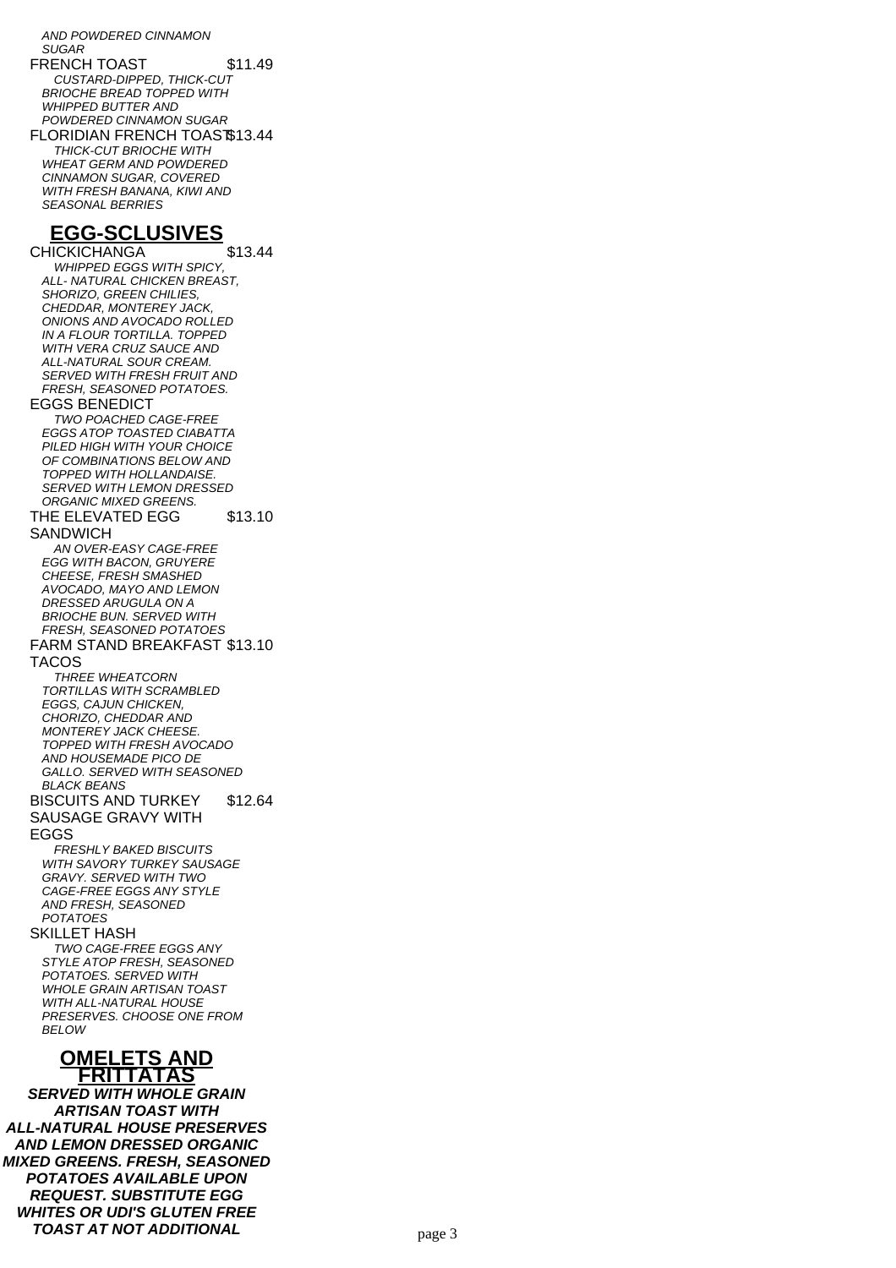AND POWDERED CINNAMON **SUGAR** FRENCH TOAST \$11.49 CUSTARD-DIPPED, THICK-CUT BRIOCHE BREAD TOPPED WITH WHIPPED BUTTER AND POWDERED CINNAMON SUGAR FLORIDIAN FRENCH TOAST\$13.44 THICK-CUT BRIOCHE WITH WHEAT GERM AND POWDERED CINNAMON SUGAR, COVERED WITH FRESH BANANA, KIWI AND SEASONAL BERRIES **EGG-SCLUSIVES** CHICKICHANGA \$13.44 WHIPPED EGGS WITH SPICY, ALL- NATURAL CHICKEN BREAST, SHORIZO, GREEN CHILIES CHEDDAR, MONTEREY JACK, ONIONS AND AVOCADO ROLLED IN A FLOUR TORTILLA. TOPPED WITH VERA CRUZ SAUCE AND ALL-NATURAL SOUR CREAM. SERVED WITH FRESH FRUIT AND FRESH, SEASONED POTATOES. EGGS BENEDICT TWO POACHED CAGE-FREE EGGS ATOP TOASTED CIABATTA PILED HIGH WITH YOUR CHOICE OF COMBINATIONS BELOW AND TOPPED WITH HOLLANDAISE. SERVED WITH LEMON DRESSED ORGANIC MIXED GREENS. THE ELEVATED EGG **SANDWICH** \$13.10 AN OVER-EASY CAGE-FREE EGG WITH BACON, GRUYERE CHEESE, FRESH SMASHED AVOCADO, MAYO AND LEMON DRESSED ARUGULA ON A BRIOCHE BUN. SERVED WITH FRESH, SEASONED POTATOES FARM STAND BREAKFAST \$13.10 TACOS THREE WHEATCORN TORTILLAS WITH SCRAMBLED EGGS, CAJUN CHICKEN, CHORIZO, CHEDDAR AND MONTEREY JACK CHEESE. TOPPED WITH FRESH AVOCADO AND HOUSEMADE PICO DE GALLO. SERVED WITH SEASONED BLACK BEANS BISCUITS AND TURKEY SAUSAGE GRAVY WITH EGGS \$12.64 FRESHLY BAKED BISCUITS WITH SAVORY TURKEY SAUSAGE GRAVY. SERVED WITH TWO CAGE-FREE EGGS ANY STYLE AND FRESH, SEASONED POTATOES SKILLET HASH TWO CAGE-FREE EGGS ANY STYLE ATOP FRESH, SEASONED POTATOES. SERVED WITH WHOLE GRAIN ARTISAN TOAST WITH ALL-NATURAL HOUSE PRESERVES. CHOOSE ONE FROM **BELOW OMELETS AND FRITTATAS**

**SERVED WITH WHOLE GRAIN ARTISAN TOAST WITH ALL-NATURAL HOUSE PRESERVES AND LEMON DRESSED ORGANIC MIXED GREENS. FRESH, SEASONED POTATOES AVAILABLE UPON REQUEST. SUBSTITUTE EGG WHITES OR UDI'S GLUTEN FREE TOAST AT NOT ADDITIONAL** page 3